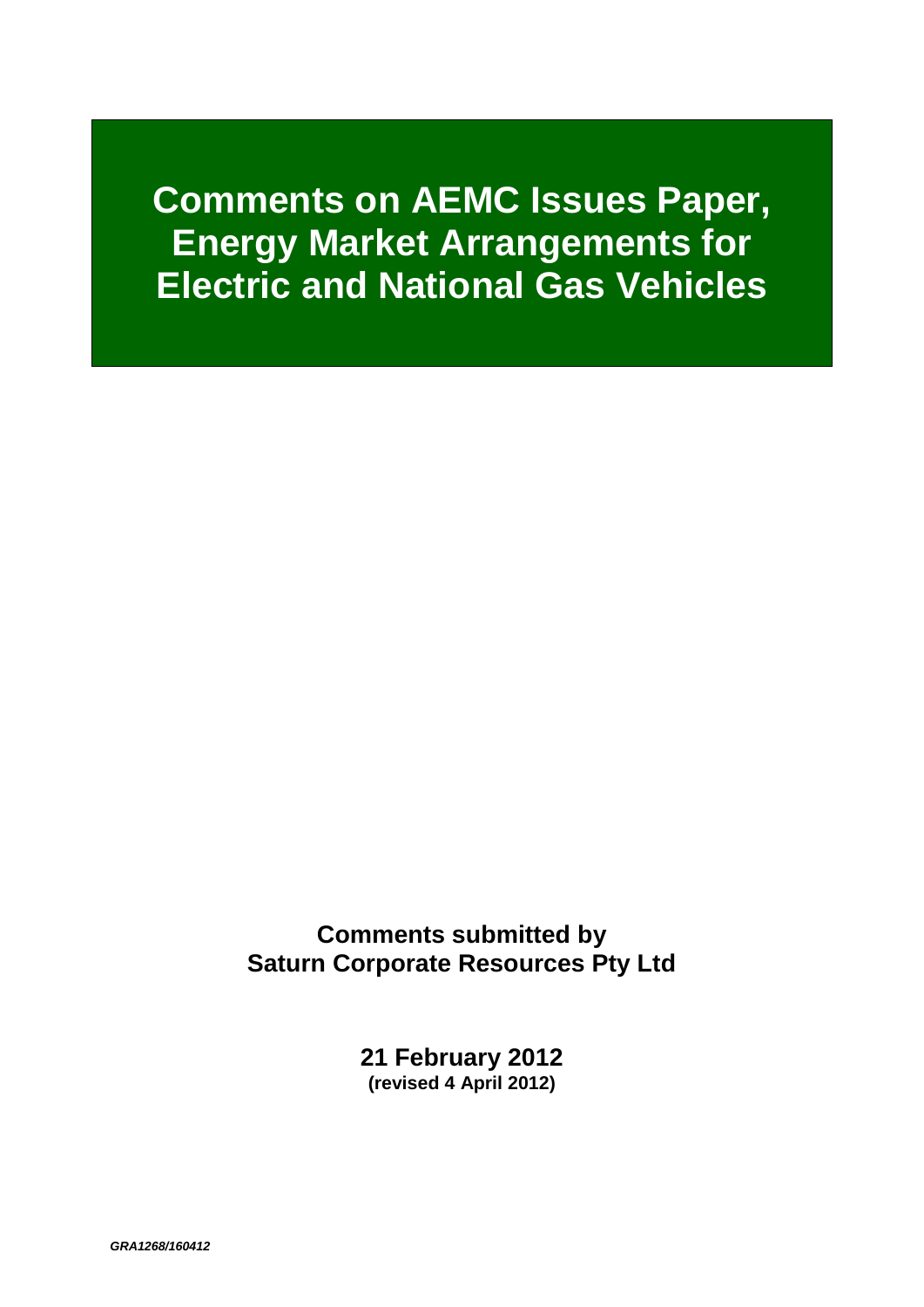# **Comments on AEMC Issues Paper, Energy Market Arrangements for Electric and National Gas Vehicles**

**Comments submitted by Saturn Corporate Resources Pty Ltd**

> **21 February 2012 (revised 4 April 2012)**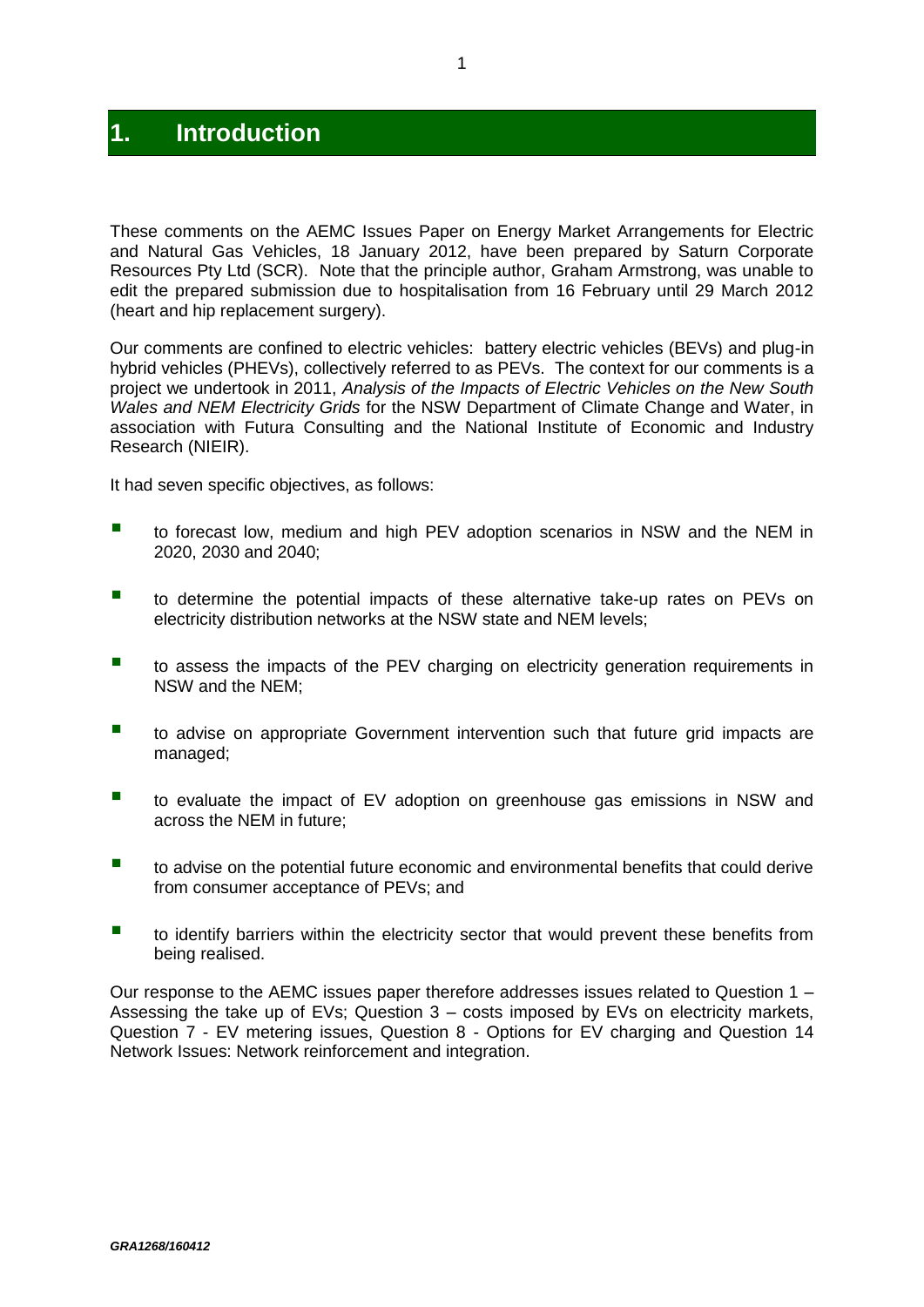# **1. Introduction**

These comments on the AEMC Issues Paper on Energy Market Arrangements for Electric and Natural Gas Vehicles, 18 January 2012, have been prepared by Saturn Corporate Resources Pty Ltd (SCR). Note that the principle author, Graham Armstrong, was unable to edit the prepared submission due to hospitalisation from 16 February until 29 March 2012 (heart and hip replacement surgery).

Our comments are confined to electric vehicles: battery electric vehicles (BEVs) and plug-in hybrid vehicles (PHEVs), collectively referred to as PEVs. The context for our comments is a project we undertook in 2011, *Analysis of the Impacts of Electric Vehicles on the New South Wales and NEM Electricity Grids* for the NSW Department of Climate Change and Water, in association with Futura Consulting and the National Institute of Economic and Industry Research (NIEIR).

It had seven specific objectives, as follows:

- **to forecast low, medium and high PEV adoption scenarios in NSW and the NEM in** 2020, 2030 and 2040;
- **to determine the potential impacts of these alternative take-up rates on PEVs on** electricity distribution networks at the NSW state and NEM levels;
- to assess the impacts of the PEV charging on electricity generation requirements in NSW and the NEM;
- to advise on appropriate Government intervention such that future grid impacts are managed;
- to evaluate the impact of EV adoption on greenhouse gas emissions in NSW and across the NEM in future;
- to advise on the potential future economic and environmental benefits that could derive from consumer acceptance of PEVs; and
- **to identify barriers within the electricity sector that would prevent these benefits from** being realised.

Our response to the AEMC issues paper therefore addresses issues related to Question 1 – Assessing the take up of EVs; Question 3 – costs imposed by EVs on electricity markets, Question 7 - EV metering issues, Question 8 - Options for EV charging and Question 14 Network Issues: Network reinforcement and integration.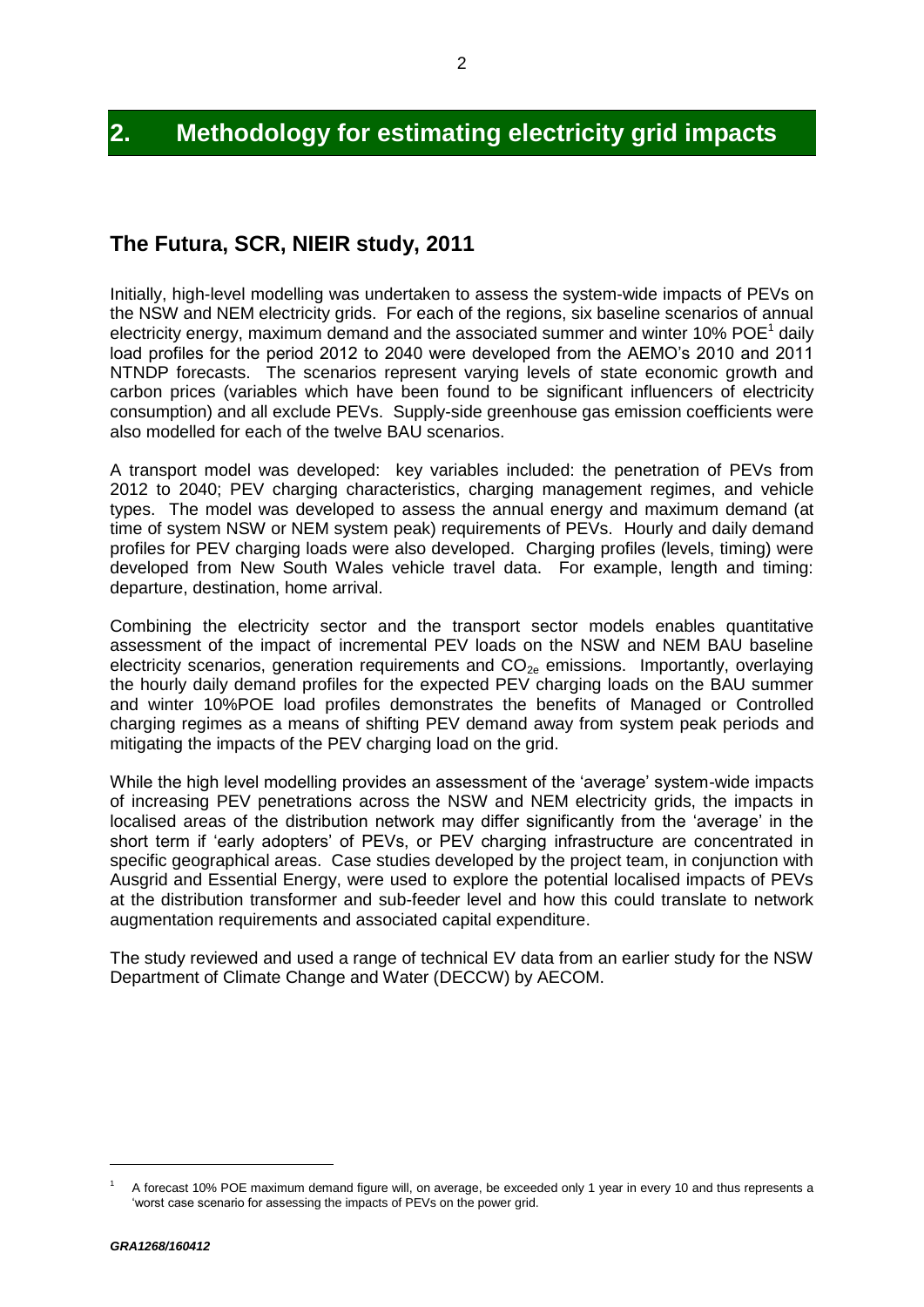# **2. Methodology for estimating electricity grid impacts**

### **The Futura, SCR, NIEIR study, 2011**

Initially, high-level modelling was undertaken to assess the system-wide impacts of PEVs on the NSW and NEM electricity grids. For each of the regions, six baseline scenarios of annual electricity energy, maximum demand and the associated summer and winter 10% POE<sup>1</sup> daily load profiles for the period 2012 to 2040 were developed from the AEMO's 2010 and 2011 NTNDP forecasts. The scenarios represent varying levels of state economic growth and carbon prices (variables which have been found to be significant influencers of electricity consumption) and all exclude PEVs. Supply-side greenhouse gas emission coefficients were also modelled for each of the twelve BAU scenarios.

A transport model was developed: key variables included: the penetration of PEVs from 2012 to 2040; PEV charging characteristics, charging management regimes, and vehicle types. The model was developed to assess the annual energy and maximum demand (at time of system NSW or NEM system peak) requirements of PEVs. Hourly and daily demand profiles for PEV charging loads were also developed. Charging profiles (levels, timing) were developed from New South Wales vehicle travel data. For example, length and timing: departure, destination, home arrival.

Combining the electricity sector and the transport sector models enables quantitative assessment of the impact of incremental PEV loads on the NSW and NEM BAU baseline electricity scenarios, generation requirements and  $CO<sub>2e</sub>$  emissions. Importantly, overlaying the hourly daily demand profiles for the expected PEV charging loads on the BAU summer and winter 10%POE load profiles demonstrates the benefits of Managed or Controlled charging regimes as a means of shifting PEV demand away from system peak periods and mitigating the impacts of the PEV charging load on the grid.

While the high level modelling provides an assessment of the 'average' system-wide impacts of increasing PEV penetrations across the NSW and NEM electricity grids, the impacts in localised areas of the distribution network may differ significantly from the 'average' in the short term if 'early adopters' of PEVs, or PEV charging infrastructure are concentrated in specific geographical areas. Case studies developed by the project team, in conjunction with Ausgrid and Essential Energy, were used to explore the potential localised impacts of PEVs at the distribution transformer and sub-feeder level and how this could translate to network augmentation requirements and associated capital expenditure.

The study reviewed and used a range of technical EV data from an earlier study for the NSW Department of Climate Change and Water (DECCW) by AECOM.

 $\overline{a}$ 

A forecast 10% POE maximum demand figure will, on average, be exceeded only 1 year in every 10 and thus represents a 'worst case scenario for assessing the impacts of PEVs on the power grid.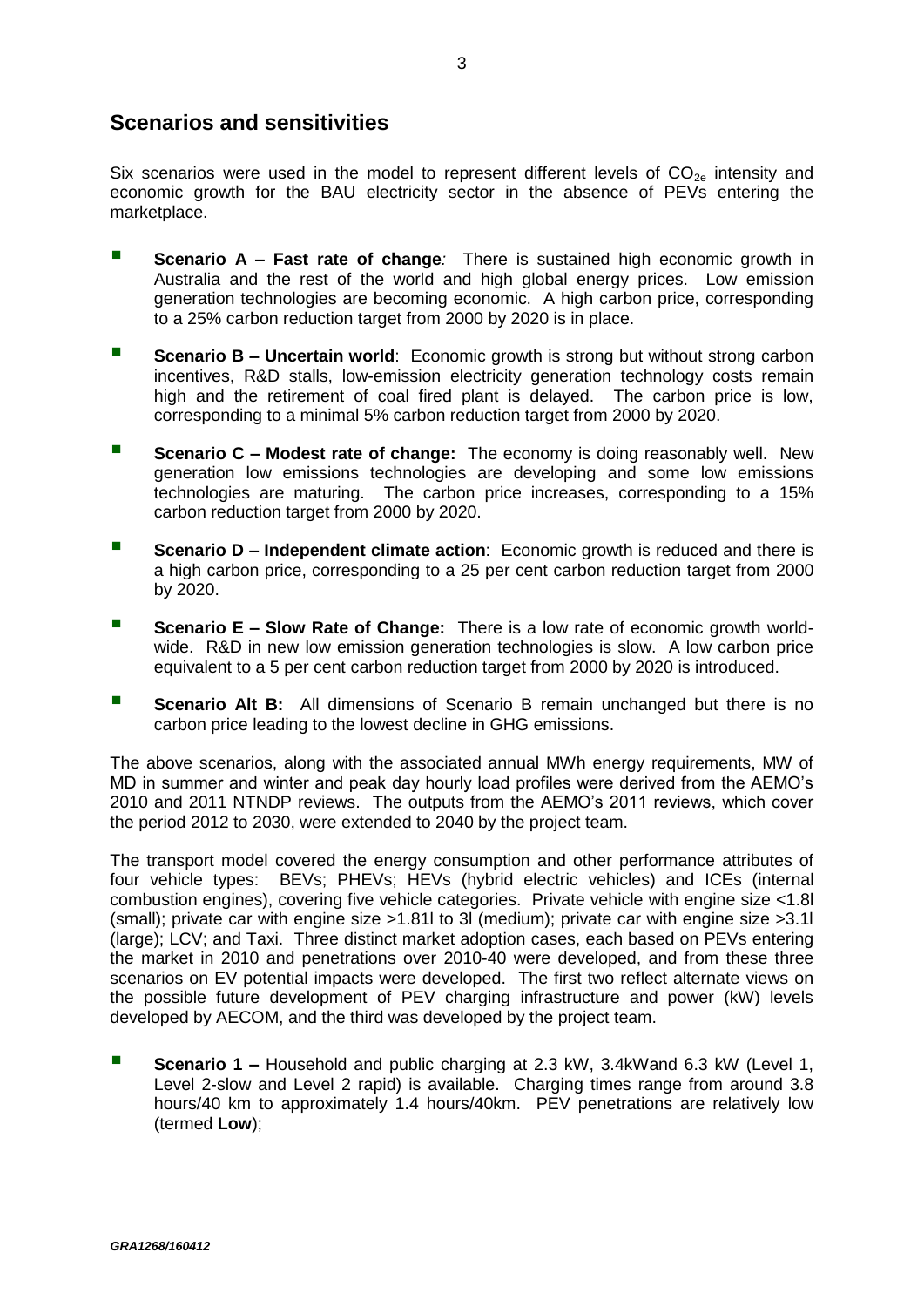### **Scenarios and sensitivities**

Six scenarios were used in the model to represent different levels of  $CO_{2e}$  intensity and economic growth for the BAU electricity sector in the absence of PEVs entering the marketplace.

- **Scenario A Fast rate of change**: There is sustained high economic growth in Australia and the rest of the world and high global energy prices. Low emission generation technologies are becoming economic. A high carbon price, corresponding to a 25% carbon reduction target from 2000 by 2020 is in place.
- **Scenario B Uncertain world:** Economic growth is strong but without strong carbon incentives, R&D stalls, low-emission electricity generation technology costs remain high and the retirement of coal fired plant is delayed. The carbon price is low, corresponding to a minimal 5% carbon reduction target from 2000 by 2020.
- **Scenario C – Modest rate of change:** The economy is doing reasonably well. New generation low emissions technologies are developing and some low emissions technologies are maturing. The carbon price increases, corresponding to a 15% carbon reduction target from 2000 by 2020.
- **Scenario D Independent climate action:** Economic growth is reduced and there is a high carbon price, corresponding to a 25 per cent carbon reduction target from 2000 by 2020.
- **Scenario E – Slow Rate of Change:** There is a low rate of economic growth worldwide. R&D in new low emission generation technologies is slow. A low carbon price equivalent to a 5 per cent carbon reduction target from 2000 by 2020 is introduced.
- **Scenario Alt B:** All dimensions of Scenario B remain unchanged but there is no carbon price leading to the lowest decline in GHG emissions.

The above scenarios, along with the associated annual MWh energy requirements, MW of MD in summer and winter and peak day hourly load profiles were derived from the AEMO's 2010 and 2011 NTNDP reviews. The outputs from the AEMO's 2011 reviews, which cover the period 2012 to 2030, were extended to 2040 by the project team.

The transport model covered the energy consumption and other performance attributes of four vehicle types: BEVs; PHEVs; HEVs (hybrid electric vehicles) and ICEs (internal combustion engines), covering five vehicle categories. Private vehicle with engine size <1.8l (small); private car with engine size >1.81l to 3l (medium); private car with engine size >3.1l (large); LCV; and Taxi. Three distinct market adoption cases, each based on PEVs entering the market in 2010 and penetrations over 2010-40 were developed, and from these three scenarios on EV potential impacts were developed. The first two reflect alternate views on the possible future development of PEV charging infrastructure and power (kW) levels developed by AECOM, and the third was developed by the project team.

 **Scenario 1 –** Household and public charging at 2.3 kW, 3.4kWand 6.3 kW (Level 1, Level 2-slow and Level 2 rapid) is available. Charging times range from around 3.8 hours/40 km to approximately 1.4 hours/40km. PEV penetrations are relatively low (termed **Low**);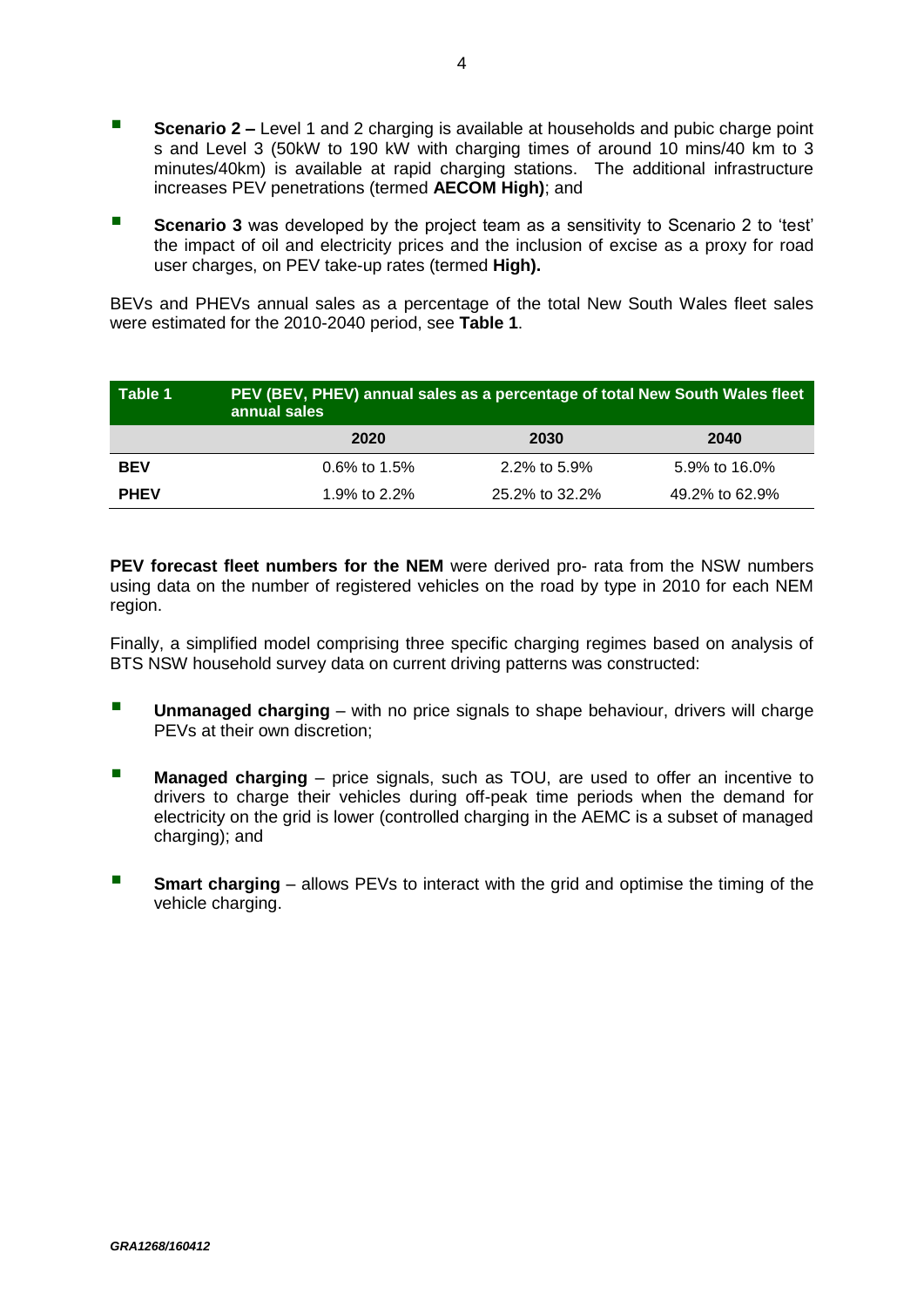- **Scenario 2 –** Level 1 and 2 charging is available at households and pubic charge point s and Level 3 (50kW to 190 kW with charging times of around 10 mins/40 km to 3 minutes/40km) is available at rapid charging stations. The additional infrastructure increases PEV penetrations (termed **AECOM High)**; and
- **Scenario 3** was developed by the project team as a sensitivity to Scenario 2 to 'test' the impact of oil and electricity prices and the inclusion of excise as a proxy for road user charges, on PEV take-up rates (termed **High).**

BEVs and PHEVs annual sales as a percentage of the total New South Wales fleet sales were estimated for the 2010-2040 period, see **Table 1**.

| Table 1     | PEV (BEV, PHEV) annual sales as a percentage of total New South Wales fleet<br>annual sales |                |                |  |  |  |
|-------------|---------------------------------------------------------------------------------------------|----------------|----------------|--|--|--|
|             | 2020                                                                                        | 2030           | 2040           |  |  |  |
| <b>BEV</b>  | $0.6\%$ to 1.5%                                                                             | 2.2% to 5.9%   | 5.9% to 16.0%  |  |  |  |
| <b>PHEV</b> | 1.9% to 2.2%                                                                                | 25.2% to 32.2% | 49.2% to 62.9% |  |  |  |

**PEV forecast fleet numbers for the NEM** were derived pro- rata from the NSW numbers using data on the number of registered vehicles on the road by type in 2010 for each NEM region.

Finally, a simplified model comprising three specific charging regimes based on analysis of BTS NSW household survey data on current driving patterns was constructed:

- **Unmanaged charging** with no price signals to shape behaviour, drivers will charge PEVs at their own discretion;
- **Managed charging** price signals, such as TOU, are used to offer an incentive to drivers to charge their vehicles during off-peak time periods when the demand for electricity on the grid is lower (controlled charging in the AEMC is a subset of managed charging); and
- **Smart charging** allows PEVs to interact with the grid and optimise the timing of the vehicle charging.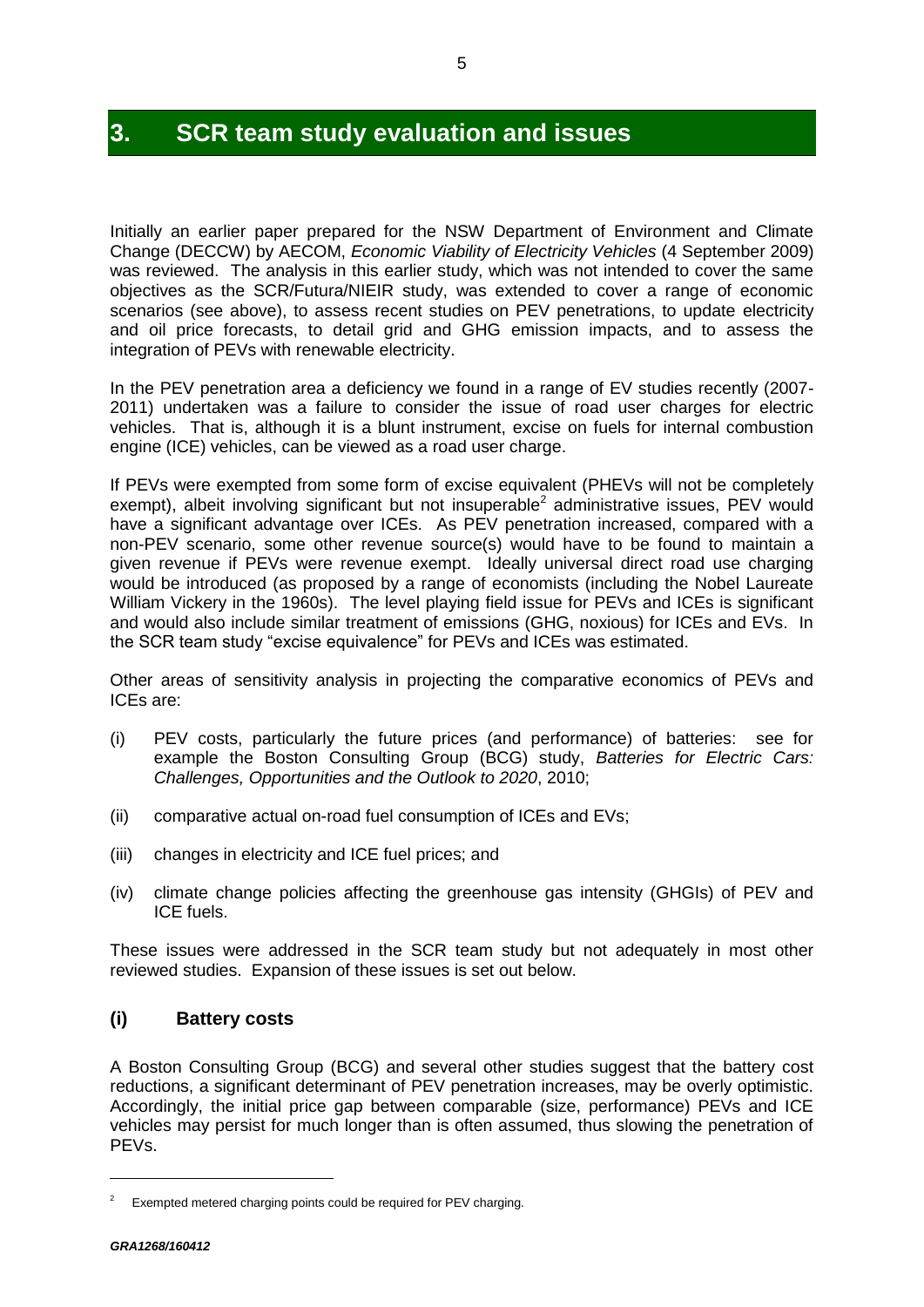### **3. SCR team study evaluation and issues**

Initially an earlier paper prepared for the NSW Department of Environment and Climate Change (DECCW) by AECOM, *Economic Viability of Electricity Vehicles* (4 September 2009) was reviewed. The analysis in this earlier study, which was not intended to cover the same objectives as the SCR/Futura/NIEIR study, was extended to cover a range of economic scenarios (see above), to assess recent studies on PEV penetrations, to update electricity and oil price forecasts, to detail grid and GHG emission impacts, and to assess the integration of PEVs with renewable electricity.

In the PEV penetration area a deficiency we found in a range of EV studies recently (2007- 2011) undertaken was a failure to consider the issue of road user charges for electric vehicles. That is, although it is a blunt instrument, excise on fuels for internal combustion engine (ICE) vehicles, can be viewed as a road user charge.

If PEVs were exempted from some form of excise equivalent (PHEVs will not be completely exempt), albeit involving significant but not insuperable<sup>2</sup> administrative issues, PEV would have a significant advantage over ICEs. As PEV penetration increased, compared with a non-PEV scenario, some other revenue source(s) would have to be found to maintain a given revenue if PEVs were revenue exempt. Ideally universal direct road use charging would be introduced (as proposed by a range of economists (including the Nobel Laureate William Vickery in the 1960s). The level playing field issue for PEVs and ICEs is significant and would also include similar treatment of emissions (GHG, noxious) for ICEs and EVs. In the SCR team study "excise equivalence" for PEVs and ICEs was estimated.

Other areas of sensitivity analysis in projecting the comparative economics of PEVs and ICEs are:

- (i) PEV costs, particularly the future prices (and performance) of batteries: see for example the Boston Consulting Group (BCG) study, *Batteries for Electric Cars: Challenges, Opportunities and the Outlook to 2020*, 2010;
- (ii) comparative actual on-road fuel consumption of ICEs and EVs;
- (iii) changes in electricity and ICE fuel prices; and
- (iv) climate change policies affecting the greenhouse gas intensity (GHGIs) of PEV and ICE fuels.

These issues were addressed in the SCR team study but not adequately in most other reviewed studies. Expansion of these issues is set out below.

#### **(i) Battery costs**

A Boston Consulting Group (BCG) and several other studies suggest that the battery cost reductions, a significant determinant of PEV penetration increases, may be overly optimistic. Accordingly, the initial price gap between comparable (size, performance) PEVs and ICE vehicles may persist for much longer than is often assumed, thus slowing the penetration of PEVs.

 $\overline{a}$ 

Exempted metered charging points could be required for PEV charging.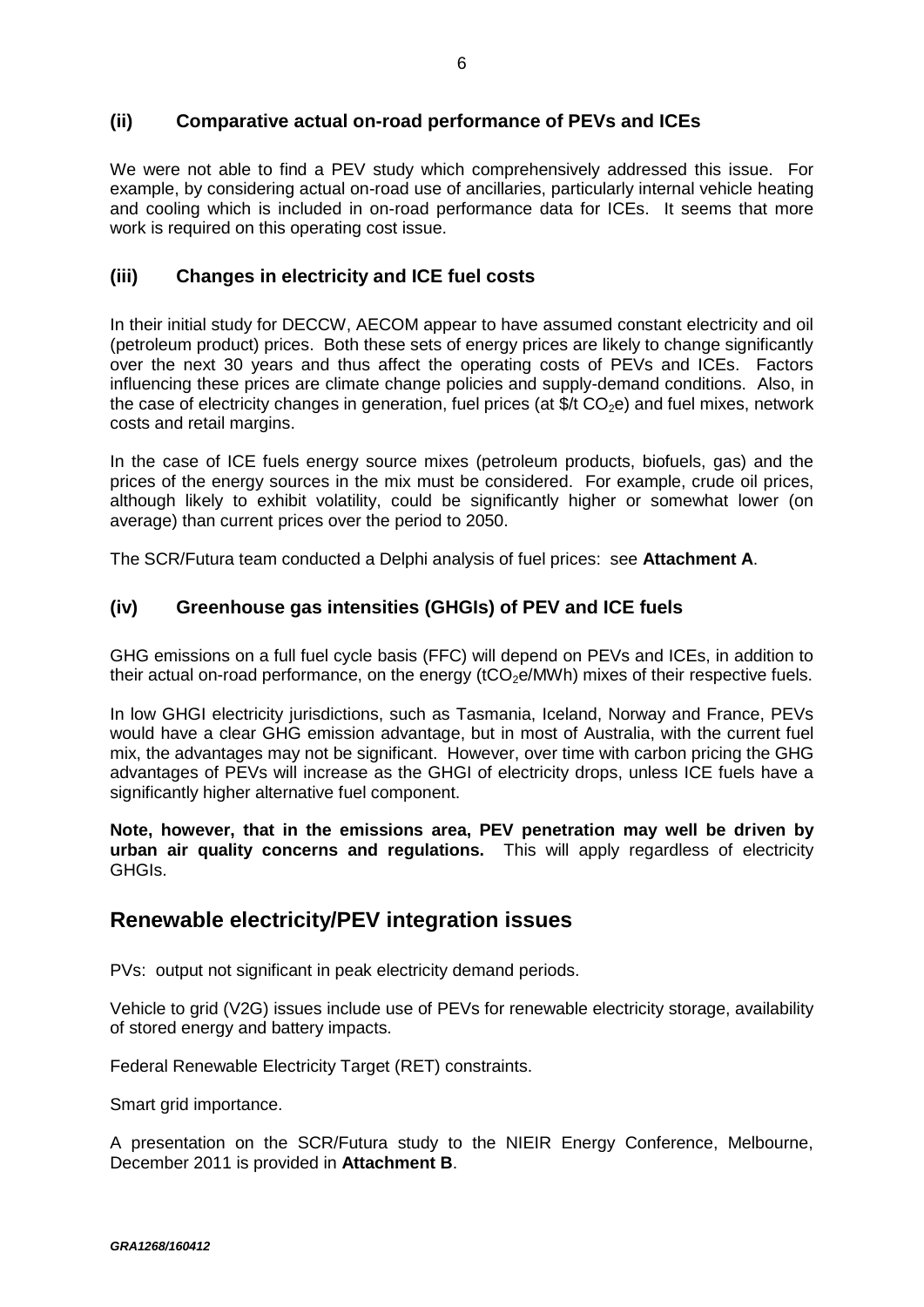#### **(ii) Comparative actual on-road performance of PEVs and ICEs**

We were not able to find a PEV study which comprehensively addressed this issue. For example, by considering actual on-road use of ancillaries, particularly internal vehicle heating and cooling which is included in on-road performance data for ICEs. It seems that more work is required on this operating cost issue.

#### **(iii) Changes in electricity and ICE fuel costs**

In their initial study for DECCW, AECOM appear to have assumed constant electricity and oil (petroleum product) prices. Both these sets of energy prices are likely to change significantly over the next 30 years and thus affect the operating costs of PEVs and ICEs. Factors influencing these prices are climate change policies and supply-demand conditions. Also, in the case of electricity changes in generation, fuel prices (at  $\frac{1}{2}$  CO<sub>2</sub>e) and fuel mixes, network costs and retail margins.

In the case of ICE fuels energy source mixes (petroleum products, biofuels, gas) and the prices of the energy sources in the mix must be considered. For example, crude oil prices, although likely to exhibit volatility, could be significantly higher or somewhat lower (on average) than current prices over the period to 2050.

The SCR/Futura team conducted a Delphi analysis of fuel prices: see **Attachment A**.

#### **(iv) Greenhouse gas intensities (GHGIs) of PEV and ICE fuels**

GHG emissions on a full fuel cycle basis (FFC) will depend on PEVs and ICEs, in addition to their actual on-road performance, on the energy ( $tCO<sub>2</sub>e/MWh$ ) mixes of their respective fuels.

In low GHGI electricity jurisdictions, such as Tasmania, Iceland, Norway and France, PEVs would have a clear GHG emission advantage, but in most of Australia, with the current fuel mix, the advantages may not be significant. However, over time with carbon pricing the GHG advantages of PEVs will increase as the GHGI of electricity drops, unless ICE fuels have a significantly higher alternative fuel component.

**Note, however, that in the emissions area, PEV penetration may well be driven by urban air quality concerns and regulations.** This will apply regardless of electricity GHGIs.

### **Renewable electricity/PEV integration issues**

PVs: output not significant in peak electricity demand periods.

Vehicle to grid (V2G) issues include use of PEVs for renewable electricity storage, availability of stored energy and battery impacts.

Federal Renewable Electricity Target (RET) constraints.

Smart grid importance.

A presentation on the SCR/Futura study to the NIEIR Energy Conference, Melbourne, December 2011 is provided in **Attachment B**.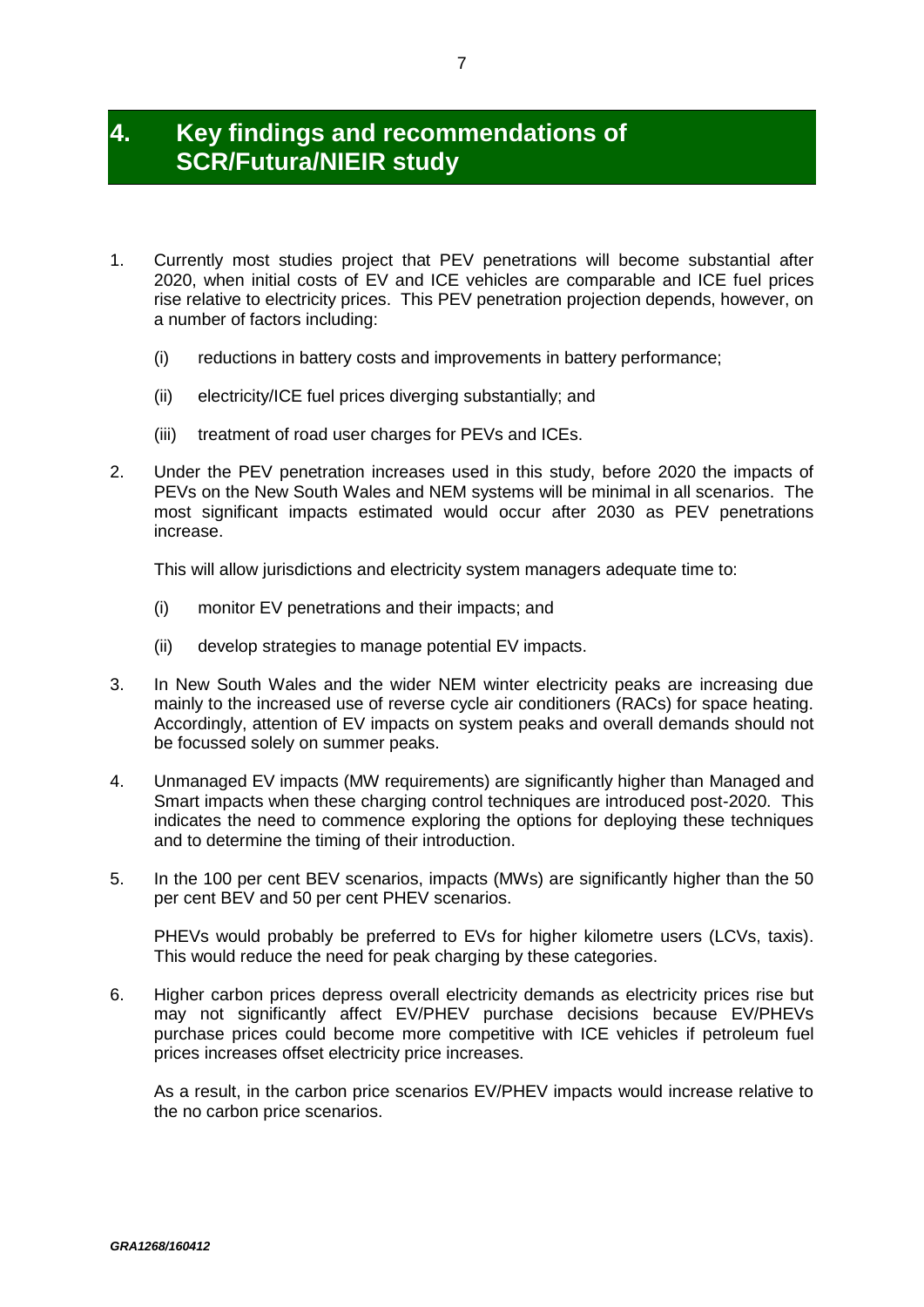### **4. Key findings and recommendations of SCR/Futura/NIEIR study**

- 1. Currently most studies project that PEV penetrations will become substantial after 2020, when initial costs of EV and ICE vehicles are comparable and ICE fuel prices rise relative to electricity prices. This PEV penetration projection depends, however, on a number of factors including:
	- (i) reductions in battery costs and improvements in battery performance;
	- (ii) electricity/ICE fuel prices diverging substantially; and
	- (iii) treatment of road user charges for PEVs and ICEs.
- 2. Under the PEV penetration increases used in this study, before 2020 the impacts of PEVs on the New South Wales and NEM systems will be minimal in all scenarios. The most significant impacts estimated would occur after 2030 as PEV penetrations increase.

This will allow jurisdictions and electricity system managers adequate time to:

- (i) monitor EV penetrations and their impacts; and
- (ii) develop strategies to manage potential EV impacts.
- 3. In New South Wales and the wider NEM winter electricity peaks are increasing due mainly to the increased use of reverse cycle air conditioners (RACs) for space heating. Accordingly, attention of EV impacts on system peaks and overall demands should not be focussed solely on summer peaks.
- 4. Unmanaged EV impacts (MW requirements) are significantly higher than Managed and Smart impacts when these charging control techniques are introduced post-2020. This indicates the need to commence exploring the options for deploying these techniques and to determine the timing of their introduction.
- 5. In the 100 per cent BEV scenarios, impacts (MWs) are significantly higher than the 50 per cent BEV and 50 per cent PHEV scenarios.

PHEVs would probably be preferred to EVs for higher kilometre users (LCVs, taxis). This would reduce the need for peak charging by these categories.

6. Higher carbon prices depress overall electricity demands as electricity prices rise but may not significantly affect EV/PHEV purchase decisions because EV/PHEVs purchase prices could become more competitive with ICE vehicles if petroleum fuel prices increases offset electricity price increases.

As a result, in the carbon price scenarios EV/PHEV impacts would increase relative to the no carbon price scenarios.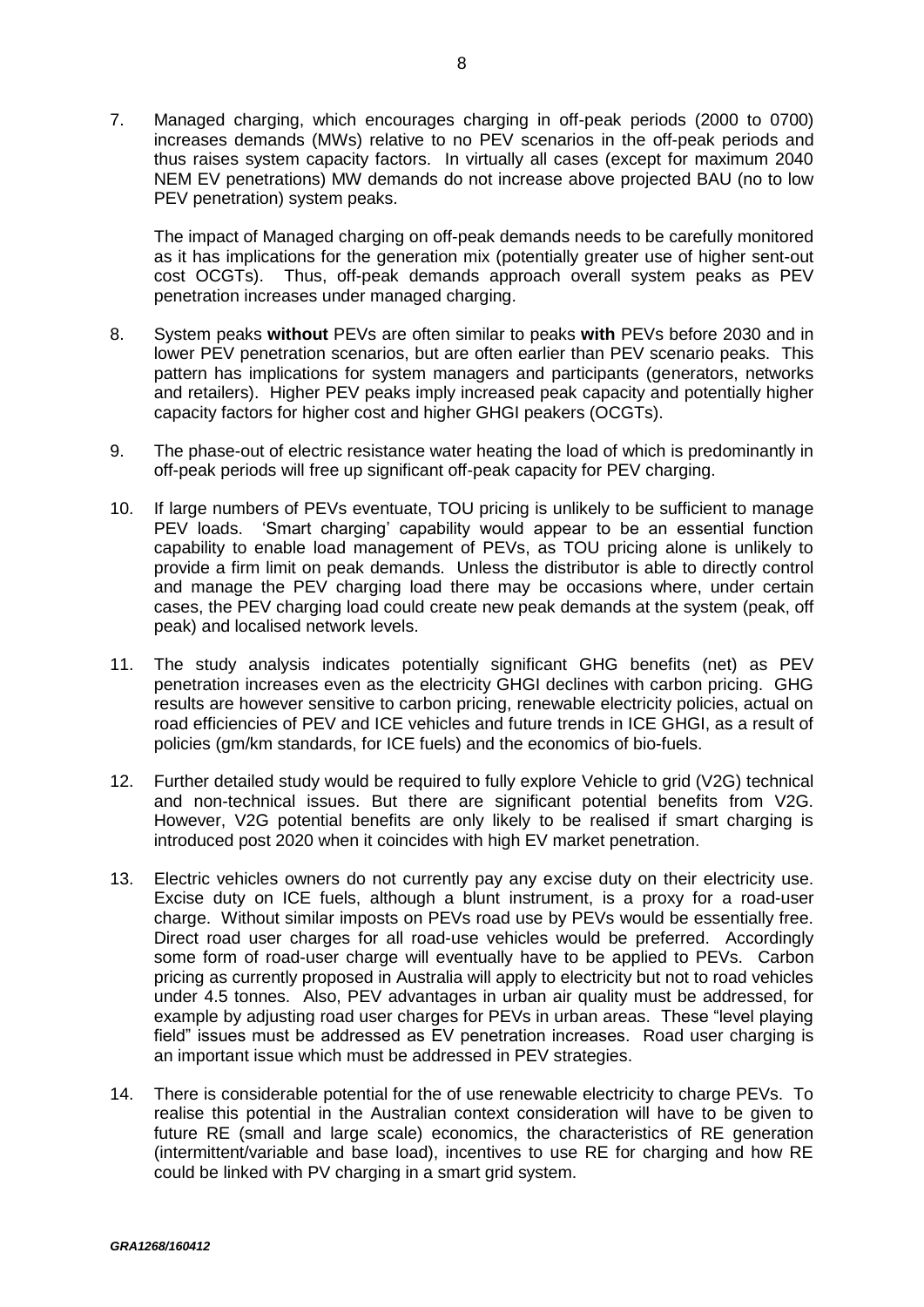7. Managed charging, which encourages charging in off-peak periods (2000 to 0700) increases demands (MWs) relative to no PEV scenarios in the off-peak periods and thus raises system capacity factors. In virtually all cases (except for maximum 2040 NEM EV penetrations) MW demands do not increase above projected BAU (no to low PEV penetration) system peaks.

The impact of Managed charging on off-peak demands needs to be carefully monitored as it has implications for the generation mix (potentially greater use of higher sent-out cost OCGTs). Thus, off-peak demands approach overall system peaks as PEV penetration increases under managed charging.

- 8. System peaks **without** PEVs are often similar to peaks **with** PEVs before 2030 and in lower PEV penetration scenarios, but are often earlier than PEV scenario peaks. This pattern has implications for system managers and participants (generators, networks and retailers). Higher PEV peaks imply increased peak capacity and potentially higher capacity factors for higher cost and higher GHGI peakers (OCGTs).
- 9. The phase-out of electric resistance water heating the load of which is predominantly in off-peak periods will free up significant off-peak capacity for PEV charging.
- 10. If large numbers of PEVs eventuate, TOU pricing is unlikely to be sufficient to manage PEV loads. 'Smart charging' capability would appear to be an essential function capability to enable load management of PEVs, as TOU pricing alone is unlikely to provide a firm limit on peak demands. Unless the distributor is able to directly control and manage the PEV charging load there may be occasions where, under certain cases, the PEV charging load could create new peak demands at the system (peak, off peak) and localised network levels.
- 11. The study analysis indicates potentially significant GHG benefits (net) as PEV penetration increases even as the electricity GHGI declines with carbon pricing. GHG results are however sensitive to carbon pricing, renewable electricity policies, actual on road efficiencies of PEV and ICE vehicles and future trends in ICE GHGI, as a result of policies (gm/km standards, for ICE fuels) and the economics of bio-fuels.
- 12. Further detailed study would be required to fully explore Vehicle to grid (V2G) technical and non-technical issues. But there are significant potential benefits from V2G. However, V2G potential benefits are only likely to be realised if smart charging is introduced post 2020 when it coincides with high EV market penetration.
- 13. Electric vehicles owners do not currently pay any excise duty on their electricity use. Excise duty on ICE fuels, although a blunt instrument, is a proxy for a road-user charge. Without similar imposts on PEVs road use by PEVs would be essentially free. Direct road user charges for all road-use vehicles would be preferred. Accordingly some form of road-user charge will eventually have to be applied to PEVs. Carbon pricing as currently proposed in Australia will apply to electricity but not to road vehicles under 4.5 tonnes. Also, PEV advantages in urban air quality must be addressed, for example by adjusting road user charges for PEVs in urban areas. These "level playing field" issues must be addressed as EV penetration increases. Road user charging is an important issue which must be addressed in PEV strategies.
- 14. There is considerable potential for the of use renewable electricity to charge PEVs. To realise this potential in the Australian context consideration will have to be given to future RE (small and large scale) economics, the characteristics of RE generation (intermittent/variable and base load), incentives to use RE for charging and how RE could be linked with PV charging in a smart grid system.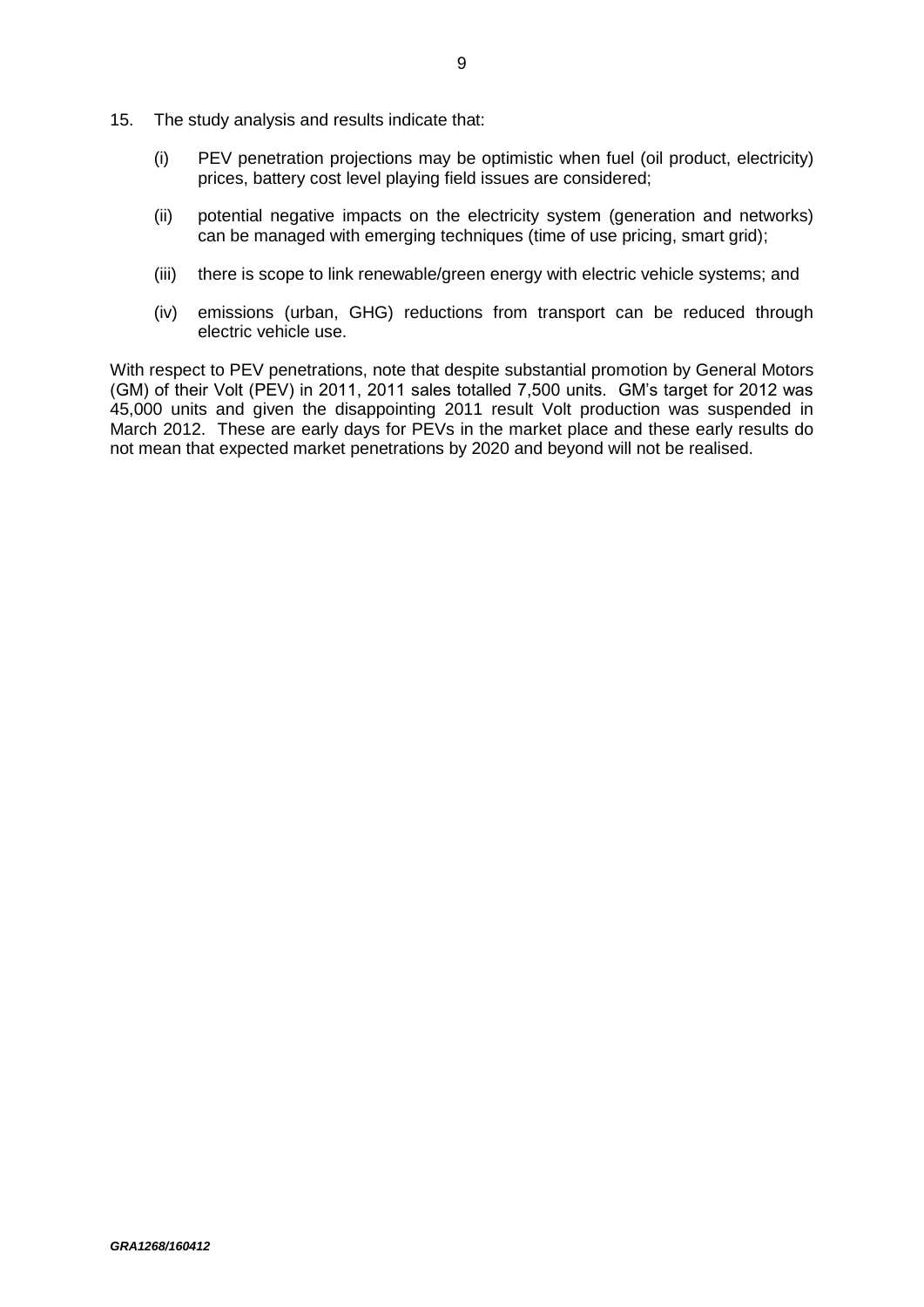- 15. The study analysis and results indicate that:
	- (i) PEV penetration projections may be optimistic when fuel (oil product, electricity) prices, battery cost level playing field issues are considered;
	- (ii) potential negative impacts on the electricity system (generation and networks) can be managed with emerging techniques (time of use pricing, smart grid);
	- (iii) there is scope to link renewable/green energy with electric vehicle systems; and
	- (iv) emissions (urban, GHG) reductions from transport can be reduced through electric vehicle use.

With respect to PEV penetrations, note that despite substantial promotion by General Motors (GM) of their Volt (PEV) in 2011, 2011 sales totalled 7,500 units. GM's target for 2012 was 45,000 units and given the disappointing 2011 result Volt production was suspended in March 2012. These are early days for PEVs in the market place and these early results do not mean that expected market penetrations by 2020 and beyond will not be realised.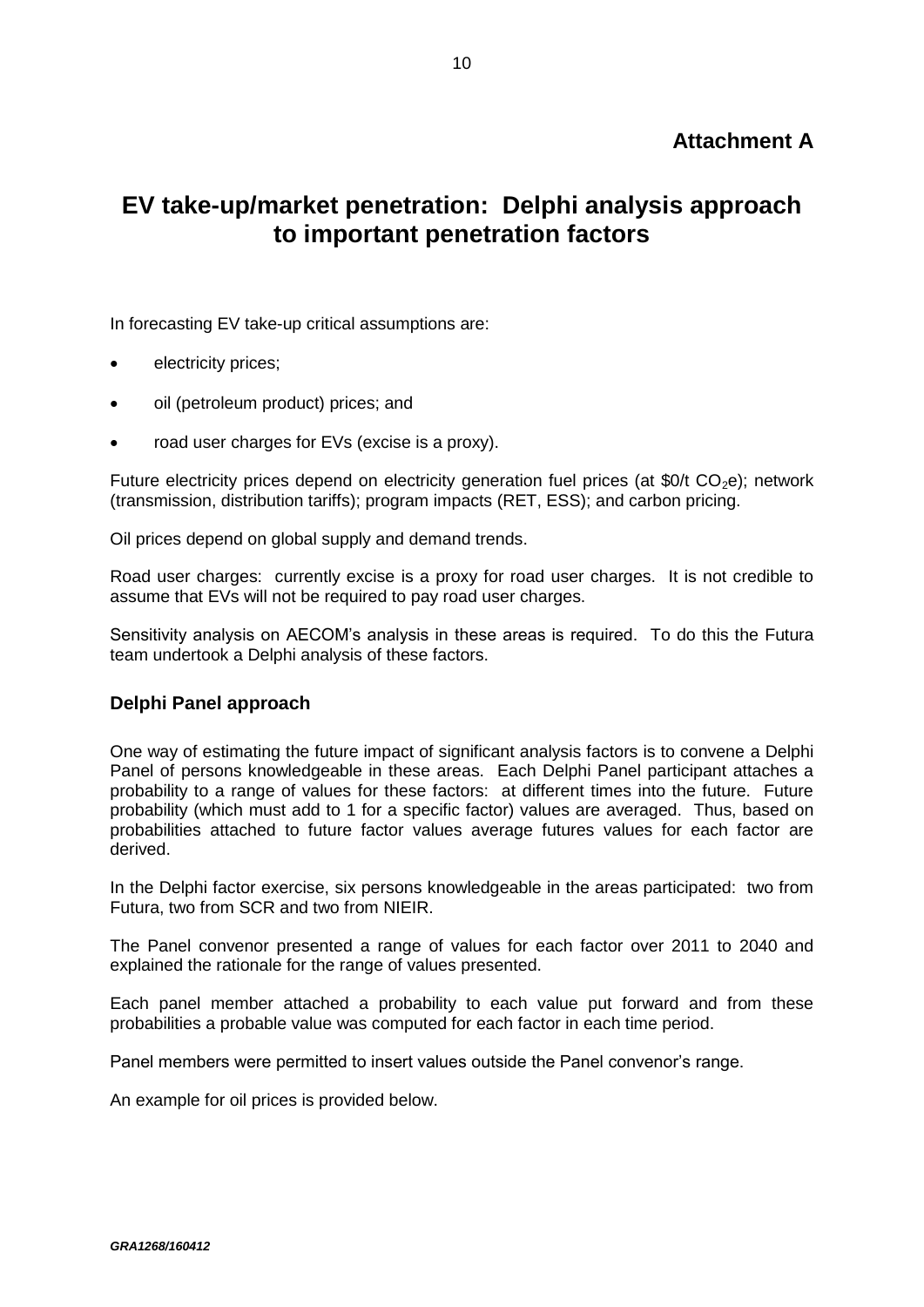### **Attachment A**

# **EV take-up/market penetration: Delphi analysis approach to important penetration factors**

In forecasting EV take-up critical assumptions are:

- electricity prices;
- oil (petroleum product) prices; and
- road user charges for EVs (excise is a proxy).

Future electricity prices depend on electricity generation fuel prices (at  $$0/t$  CO<sub>2</sub>e); network (transmission, distribution tariffs); program impacts (RET, ESS); and carbon pricing.

Oil prices depend on global supply and demand trends.

Road user charges: currently excise is a proxy for road user charges. It is not credible to assume that EVs will not be required to pay road user charges.

Sensitivity analysis on AECOM's analysis in these areas is required. To do this the Futura team undertook a Delphi analysis of these factors.

#### **Delphi Panel approach**

One way of estimating the future impact of significant analysis factors is to convene a Delphi Panel of persons knowledgeable in these areas. Each Delphi Panel participant attaches a probability to a range of values for these factors: at different times into the future. Future probability (which must add to 1 for a specific factor) values are averaged. Thus, based on probabilities attached to future factor values average futures values for each factor are derived.

In the Delphi factor exercise, six persons knowledgeable in the areas participated: two from Futura, two from SCR and two from NIEIR.

The Panel convenor presented a range of values for each factor over 2011 to 2040 and explained the rationale for the range of values presented.

Each panel member attached a probability to each value put forward and from these probabilities a probable value was computed for each factor in each time period.

Panel members were permitted to insert values outside the Panel convenor's range.

An example for oil prices is provided below.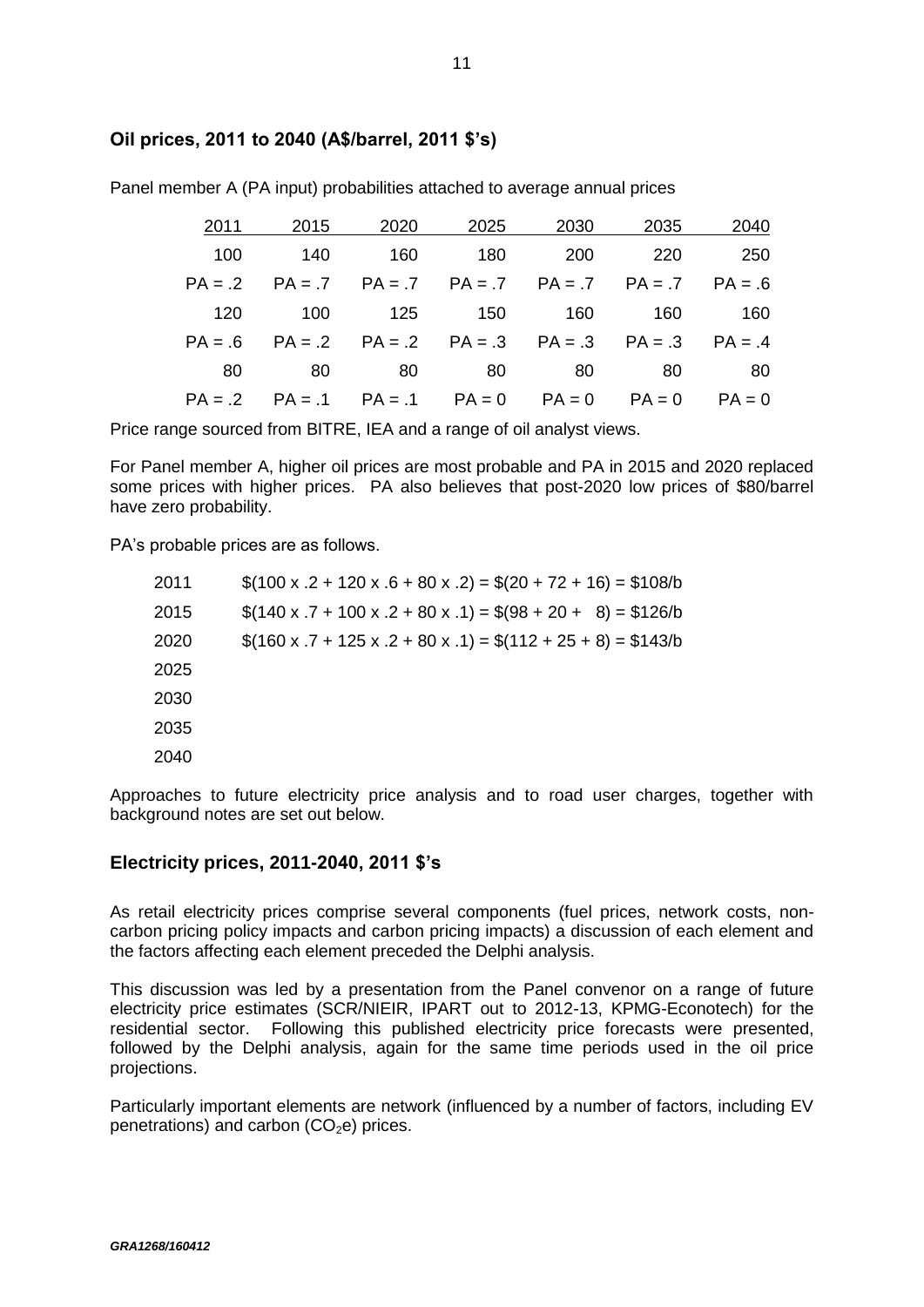#### **Oil prices, 2011 to 2040 (A\$/barrel, 2011 \$'s)**

| 2040     | 2035 | 2030 | 2025                                                        | 2020 | 2015 | 2011      |
|----------|------|------|-------------------------------------------------------------|------|------|-----------|
| 250      | 220  | 200  | 180                                                         | 160  | 140  | 100       |
|          |      |      | $PA = .7$ $PA = .7$ $PA = .7$ $PA = .7$ $PA = .7$ $PA = .6$ |      |      | $PA = .2$ |
| 160      | 160  | 160  | 150                                                         | 125  | 100  | 120       |
|          |      |      | $PA = .2$ $PA = .2$ $PA = .3$ $PA = .3$ $PA = .3$ $PA = .4$ |      |      | $PA = .6$ |
| 80       | 80   | 80   | 80 -                                                        | 80   | 80   | 80        |
| $PA = 0$ |      |      | $PA = .1$ $PA = .1$ $PA = 0$ $PA = 0$ $PA = 0$              |      |      | $PA = .2$ |

Panel member A (PA input) probabilities attached to average annual prices

Price range sourced from BITRE, IEA and a range of oil analyst views.

For Panel member A, higher oil prices are most probable and PA in 2015 and 2020 replaced some prices with higher prices. PA also believes that post-2020 low prices of \$80/barrel have zero probability.

PA's probable prices are as follows.

| 2011 | $$(100 \times .2 + 120 \times .6 + 80 \times .2) = $(20 + 72 + 16) = $108/b$ |
|------|------------------------------------------------------------------------------|
| 2015 | $\$(140 \times .7 + 100 \times .2 + 80 \times .1) = $(98 + 20 + 8) = $126/b$ |
| 2020 | $$(160 x .7 + 125 x .2 + 80 x .1) = $(112 + 25 + 8) = $143/b$                |
| 2025 |                                                                              |
| 2030 |                                                                              |
| 2035 |                                                                              |
| 2040 |                                                                              |
|      |                                                                              |

Approaches to future electricity price analysis and to road user charges, together with background notes are set out below.

#### **Electricity prices, 2011-2040, 2011 \$'s**

As retail electricity prices comprise several components (fuel prices, network costs, noncarbon pricing policy impacts and carbon pricing impacts) a discussion of each element and the factors affecting each element preceded the Delphi analysis.

This discussion was led by a presentation from the Panel convenor on a range of future electricity price estimates (SCR/NIEIR, IPART out to 2012-13, KPMG-Econotech) for the residential sector. Following this published electricity price forecasts were presented, followed by the Delphi analysis, again for the same time periods used in the oil price projections.

Particularly important elements are network (influenced by a number of factors, including EV penetrations) and carbon  $(CO<sub>2</sub>e)$  prices.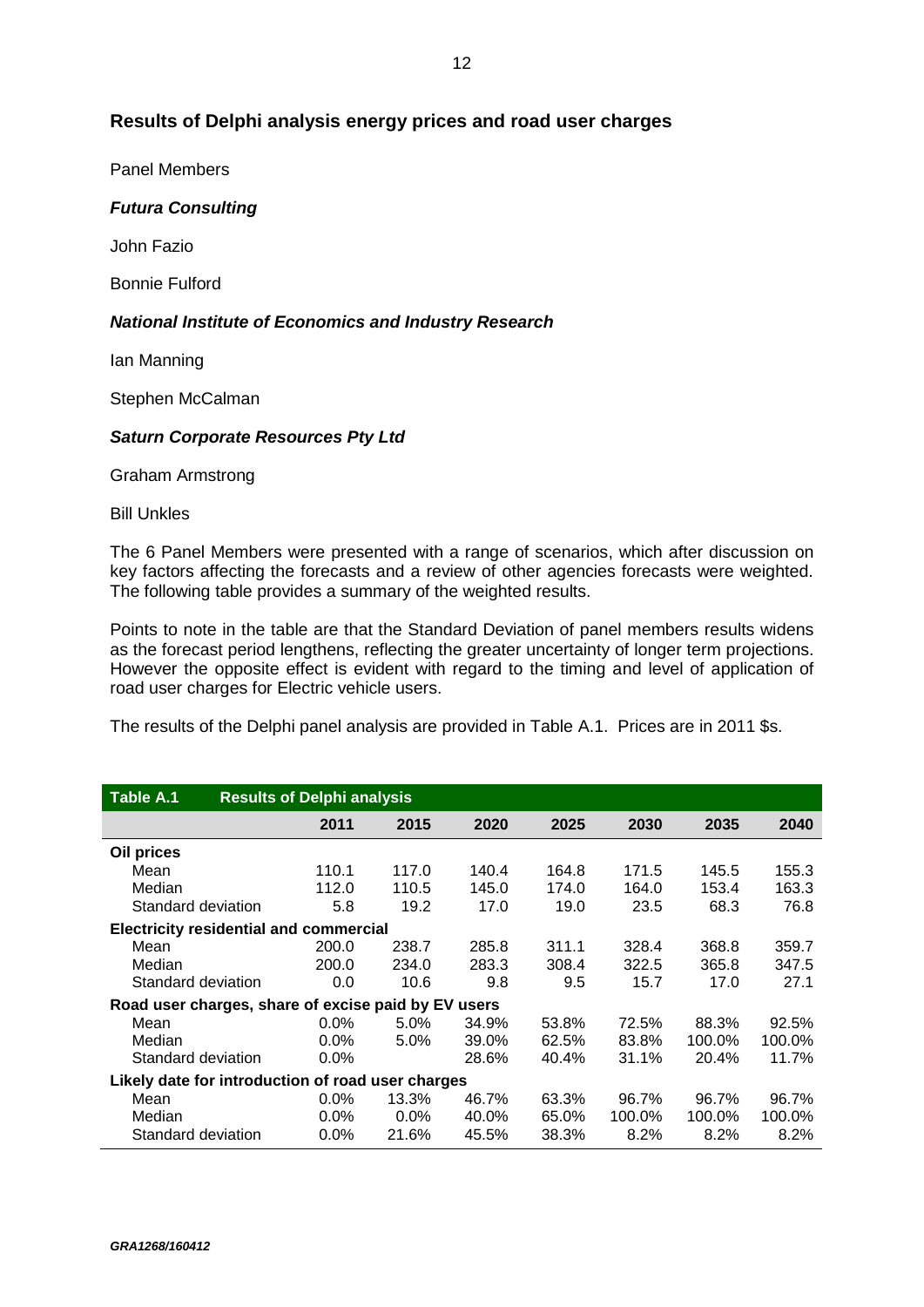#### **Results of Delphi analysis energy prices and road user charges**

Panel Members

#### *Futura Consulting*

John Fazio

Bonnie Fulford

#### *National Institute of Economics and Industry Research*

Ian Manning

Stephen McCalman

#### *Saturn Corporate Resources Pty Ltd*

Graham Armstrong

Bill Unkles

The 6 Panel Members were presented with a range of scenarios, which after discussion on key factors affecting the forecasts and a review of other agencies forecasts were weighted. The following table provides a summary of the weighted results.

Points to note in the table are that the Standard Deviation of panel members results widens as the forecast period lengthens, reflecting the greater uncertainty of longer term projections. However the opposite effect is evident with regard to the timing and level of application of road user charges for Electric vehicle users.

The results of the Delphi panel analysis are provided in Table A.1. Prices are in 2011 \$s.

| Table A.1                                           | <b>Results of Delphi analysis</b> |         |         |       |       |        |        |        |
|-----------------------------------------------------|-----------------------------------|---------|---------|-------|-------|--------|--------|--------|
|                                                     |                                   | 2011    | 2015    | 2020  | 2025  | 2030   | 2035   | 2040   |
| Oil prices                                          |                                   |         |         |       |       |        |        |        |
| Mean                                                |                                   | 110.1   | 117.0   | 140.4 | 164.8 | 171.5  | 145.5  | 155.3  |
| Median                                              |                                   | 112.0   | 110.5   | 145.0 | 174.0 | 164.0  | 153.4  | 163.3  |
| Standard deviation                                  |                                   | 5.8     | 19.2    | 17.0  | 19.0  | 23.5   | 68.3   | 76.8   |
| <b>Electricity residential and commercial</b>       |                                   |         |         |       |       |        |        |        |
| Mean                                                |                                   | 200.0   | 238.7   | 285.8 | 311.1 | 328.4  | 368.8  | 359.7  |
| Median                                              |                                   | 200.0   | 234.0   | 283.3 | 308.4 | 322.5  | 365.8  | 347.5  |
| Standard deviation                                  |                                   | 0.0     | 10.6    | 9.8   | 9.5   | 15.7   | 17.0   | 27.1   |
| Road user charges, share of excise paid by EV users |                                   |         |         |       |       |        |        |        |
| Mean                                                |                                   | $0.0\%$ | $5.0\%$ | 34.9% | 53.8% | 72.5%  | 88.3%  | 92.5%  |
| Median                                              |                                   | $0.0\%$ | $5.0\%$ | 39.0% | 62.5% | 83.8%  | 100.0% | 100.0% |
| Standard deviation                                  |                                   | $0.0\%$ |         | 28.6% | 40.4% | 31.1%  | 20.4%  | 11.7%  |
| Likely date for introduction of road user charges   |                                   |         |         |       |       |        |        |        |
| Mean                                                |                                   | $0.0\%$ | 13.3%   | 46.7% | 63.3% | 96.7%  | 96.7%  | 96.7%  |
| Median                                              |                                   | $0.0\%$ | $0.0\%$ | 40.0% | 65.0% | 100.0% | 100.0% | 100.0% |
| Standard deviation                                  |                                   | $0.0\%$ | 21.6%   | 45.5% | 38.3% | 8.2%   | 8.2%   | 8.2%   |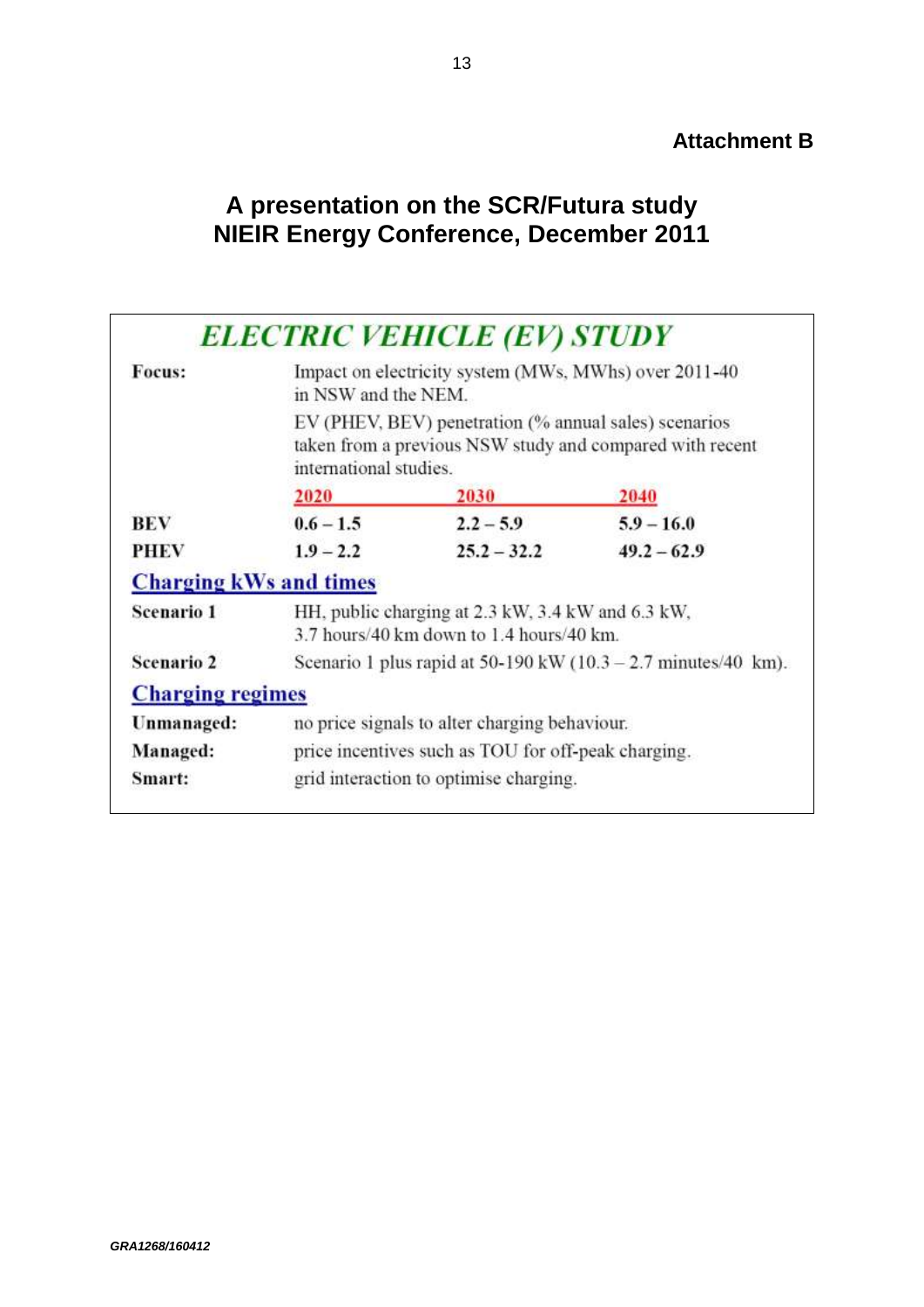### **Attachment B**

# **A presentation on the SCR/Futura study NIEIR Energy Conference, December 2011**

| Focus:                        | <b>ELECTRIC VEHICLE (EV) STUDY</b><br>Impact on electricity system (MWs, MWhs) over 2011-40<br>in NSW and the NEM. |                                                       |                                                          |  |  |
|-------------------------------|--------------------------------------------------------------------------------------------------------------------|-------------------------------------------------------|----------------------------------------------------------|--|--|
|                               | international studies.                                                                                             | EV (PHEV, BEV) penetration (% annual sales) scenarios | taken from a previous NSW study and compared with recent |  |  |
|                               | 2020                                                                                                               | 2030                                                  | 2040                                                     |  |  |
| <b>BEV</b>                    | $0.6 - 1.5$                                                                                                        | $2.2 - 5.9$                                           | $5.9 - 16.0$                                             |  |  |
| <b>PHEV</b>                   | $1.9 - 2.2$                                                                                                        | $25.2 - 32.2$                                         | $49.2 - 62.9$                                            |  |  |
| <b>Charging kWs and times</b> |                                                                                                                    |                                                       |                                                          |  |  |
| <b>Scenario 1</b>             | HH, public charging at 2.3 kW, 3.4 kW and 6.3 kW,<br>3.7 hours/40 km down to 1.4 hours/40 km.                      |                                                       |                                                          |  |  |
| <b>Scenario 2</b>             | Scenario 1 plus rapid at 50-190 kW $(10.3 - 2.7 \text{ minutes}/40 \text{ km})$ .                                  |                                                       |                                                          |  |  |
| <b>Charging regimes</b>       |                                                                                                                    |                                                       |                                                          |  |  |
| Unmanaged:                    | no price signals to alter charging behaviour.                                                                      |                                                       |                                                          |  |  |
| Managed:                      | price incentives such as TOU for off-peak charging.                                                                |                                                       |                                                          |  |  |
| Smart:                        | grid interaction to optimise charging.                                                                             |                                                       |                                                          |  |  |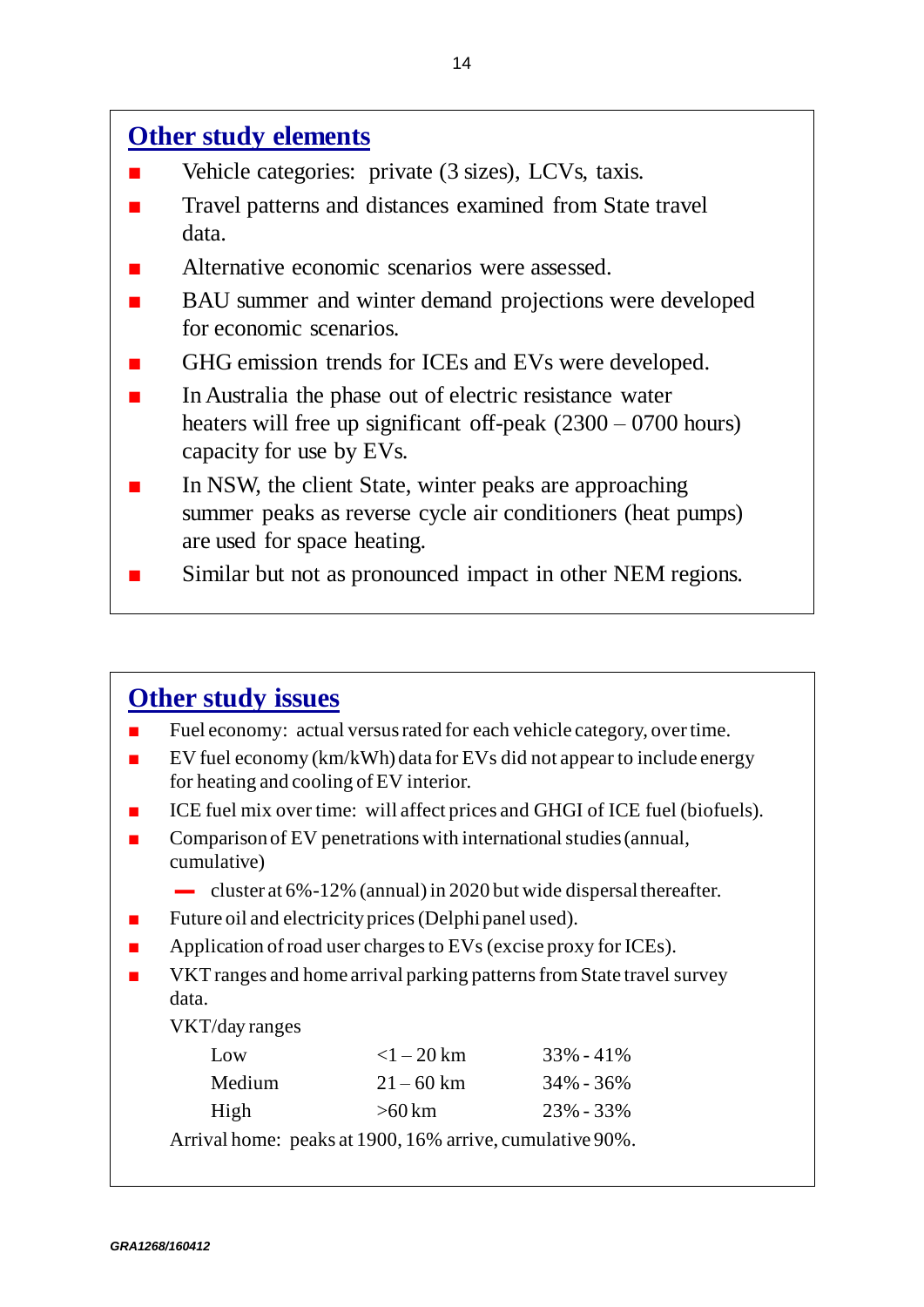# **Other study elements**

- Vehicle categories: private (3 sizes), LCVs, taxis.
- Travel patterns and distances examined from State travel data.
- Alternative economic scenarios were assessed.
- BAU summer and winter demand projections were developed for economic scenarios.
- GHG emission trends for ICEs and EVs were developed.
- In Australia the phase out of electric resistance water heaters will free up significant off-peak (2300 – 0700 hours) capacity for use by EVs.
- In NSW, the client State, winter peaks are approaching summer peaks as reverse cycle air conditioners (heat pumps) are used for space heating.
- Similar but not as pronounced impact in other NEM regions.

# **Other study issues**

- Fuel economy: actual versus rated for each vehicle category, over time.
- EV fuel economy  $(km/kWh)$  data for EVs did not appear to include energy for heating and cooling of EV interior.
- ICE fuel mix over time: will affect prices and GHGI of ICE fuel (biofuels).
- Comparison of EV penetrations with international studies (annual, cumulative)
	- cluster at  $6\% 12\%$  (annual) in 2020 but wide dispersal thereafter.
- Future oil and electricity prices (Delphi panel used).
- **Application of road user charges to EVs (excise proxy for ICEs).**
- **NORT VKT** ranges and home arrival parking patterns from State travel survey data.

VKT/day ranges

| Low    | $<$ 1 – 20 km                                            | $33\% - 41\%$ |
|--------|----------------------------------------------------------|---------------|
| Medium | $21 - 60$ km                                             | $34\% - 36\%$ |
| High   | $>60$ km                                                 | $23\% - 33\%$ |
|        | Arrival home: peaks at 1900, 16% arrive, cumulative 90%. |               |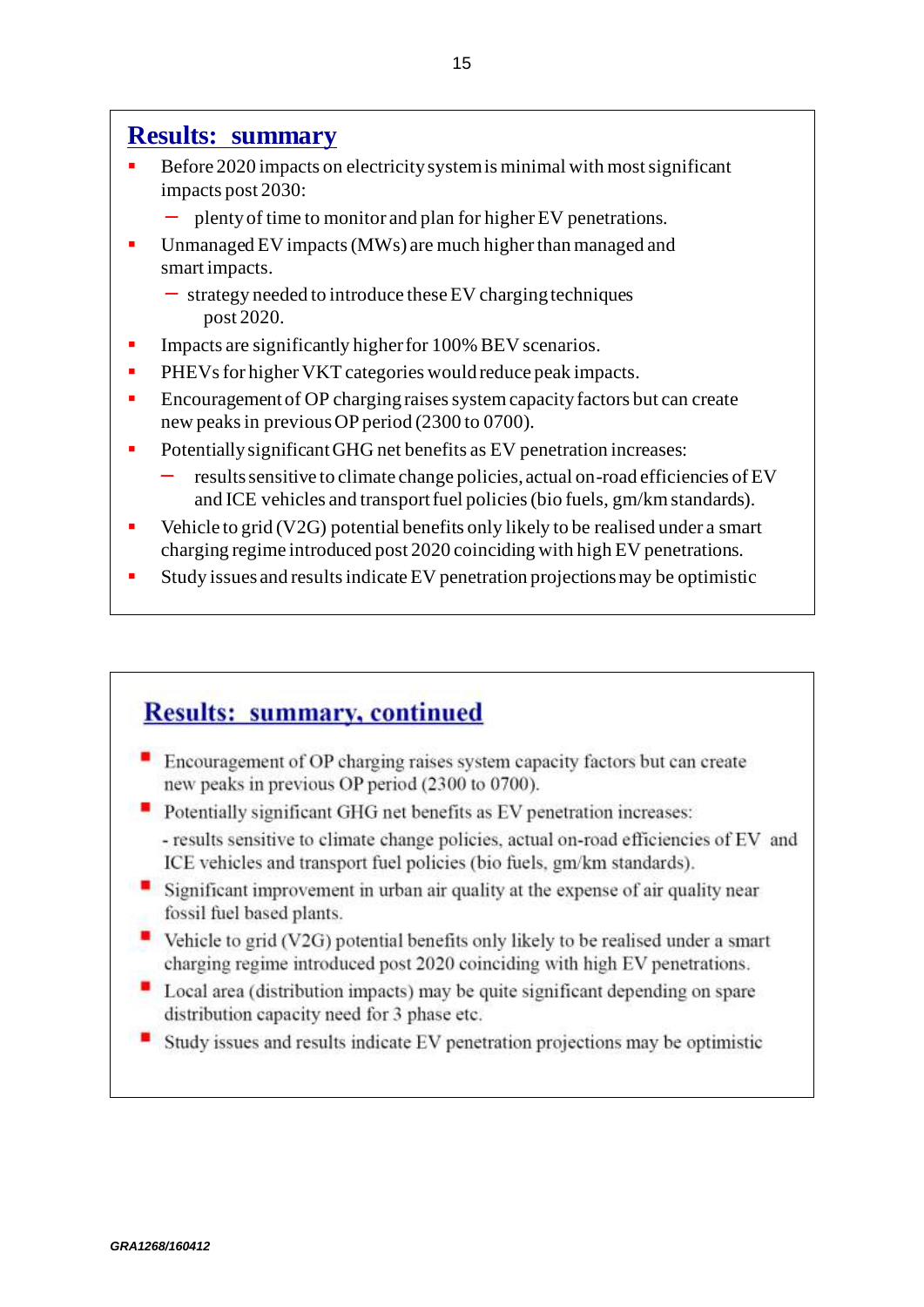### **Results: summary**

- Before 2020 impacts on electricity system is minimal with most significant impacts post 2030:
	- ▬ plenty of time to monitor and plan for higher EV penetrations.
- Unmanaged EV impacts (MWs) are much higher than managed and smart impacts.
	- ▬ strategy needed to introduce these EV charging techniques post 2020.
- **IMPACTE:** Impacts are significantly higher for 100% BEV scenarios.
- PHEVs for higher VKT categories would reduce peak impacts.
- **Encouragement of OP charging raises system capacity factors but can create** new peaks in previous OP period (2300 to 0700).
- Potentially significant GHG net benefits as EV penetration increases:
	- results sensitive to climate change policies, actual on-road efficiencies of EV and ICE vehicles and transport fuel policies (bio fuels, gm/km standards).
- Vehicle to grid (V2G) potential benefits only likely to be realised under a smart charging regime introduced post 2020 coinciding with high EV penetrations.
- Study issues and results indicate EV penetration projections may be optimistic

# **Results: summary, continued**

- Encouragement of OP charging raises system capacity factors but can create new peaks in previous OP period (2300 to 0700).
- Potentially significant GHG net benefits as EV penetration increases:
	- results sensitive to climate change policies, actual on-road efficiencies of EV and ICE vehicles and transport fuel policies (bio fuels, gm/km standards).
- Significant improvement in urban air quality at the expense of air quality near fossil fuel based plants.
- Vehicle to grid (V2G) potential benefits only likely to be realised under a smart charging regime introduced post 2020 coinciding with high EV penetrations.
- Local area (distribution impacts) may be quite significant depending on spare distribution capacity need for 3 phase etc.
- Study issues and results indicate EV penetration projections may be optimistic